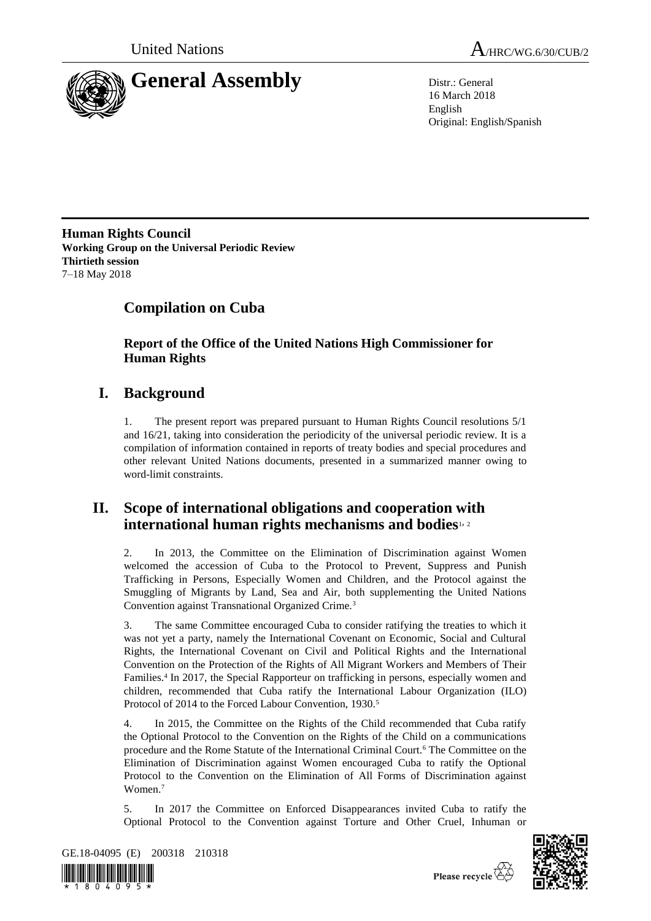



16 March 2018 English Original: English/Spanish

**Human Rights Council Working Group on the Universal Periodic Review Thirtieth session** 7–18 May 2018

# **Compilation on Cuba**

**Report of the Office of the United Nations High Commissioner for Human Rights**

# **I. Background**

1. The present report was prepared pursuant to Human Rights Council resolutions 5/1 and 16/21, taking into consideration the periodicity of the universal periodic review. It is a compilation of information contained in reports of treaty bodies and special procedures and other relevant United Nations documents, presented in a summarized manner owing to word-limit constraints.

## **II. Scope of international obligations and cooperation with international human rights mechanisms and bodies**1, <sup>2</sup>

2. In 2013, the Committee on the Elimination of Discrimination against Women welcomed the accession of Cuba to the Protocol to Prevent, Suppress and Punish Trafficking in Persons, Especially Women and Children, and the Protocol against the Smuggling of Migrants by Land, Sea and Air, both supplementing the United Nations Convention against Transnational Organized Crime.<sup>3</sup>

3. The same Committee encouraged Cuba to consider ratifying the treaties to which it was not yet a party, namely the International Covenant on Economic, Social and Cultural Rights, the International Covenant on Civil and Political Rights and the International Convention on the Protection of the Rights of All Migrant Workers and Members of Their Families.<sup>4</sup> In 2017, the Special Rapporteur on trafficking in persons, especially women and children, recommended that Cuba ratify the International Labour Organization (ILO) Protocol of 2014 to the Forced Labour Convention, 1930.<sup>5</sup>

4. In 2015, the Committee on the Rights of the Child recommended that Cuba ratify the Optional Protocol to the Convention on the Rights of the Child on a communications procedure and the Rome Statute of the International Criminal Court.<sup>6</sup> The Committee on the Elimination of Discrimination against Women encouraged Cuba to ratify the Optional Protocol to the Convention on the Elimination of All Forms of Discrimination against Women.<sup>7</sup>

5. In 2017 the Committee on Enforced Disappearances invited Cuba to ratify the Optional Protocol to the Convention against Torture and Other Cruel, Inhuman or



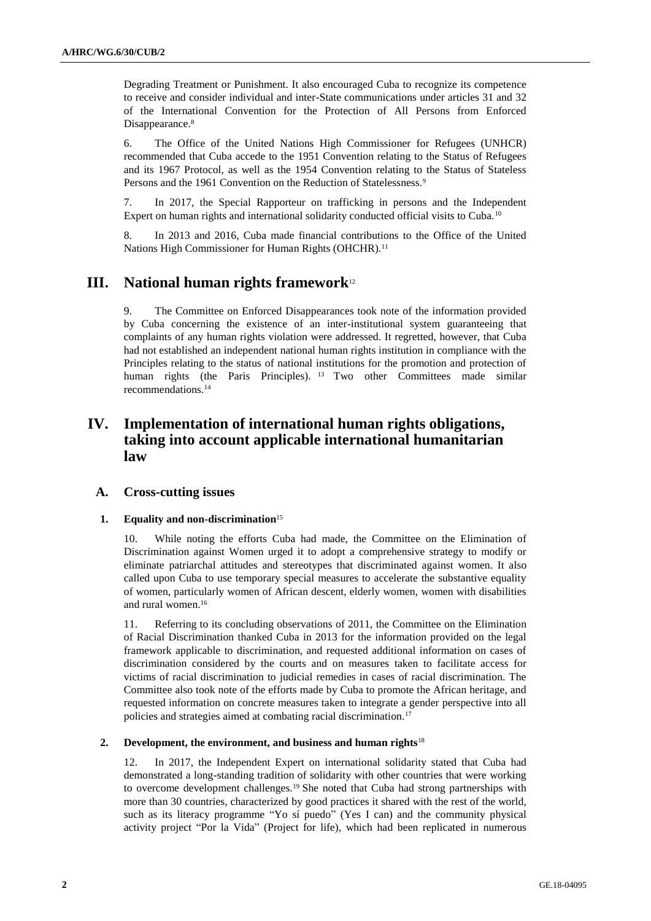Degrading Treatment or Punishment. It also encouraged Cuba to recognize its competence to receive and consider individual and inter-State communications under articles 31 and 32 of the International Convention for the Protection of All Persons from Enforced Disappearance.<sup>8</sup>

6. The Office of the United Nations High Commissioner for Refugees (UNHCR) recommended that Cuba accede to the 1951 Convention relating to the Status of Refugees and its 1967 Protocol, as well as the 1954 Convention relating to the Status of Stateless Persons and the 1961 Convention on the Reduction of Statelessness.<sup>9</sup>

7. In 2017, the Special Rapporteur on trafficking in persons and the Independent Expert on human rights and international solidarity conducted official visits to Cuba.<sup>10</sup>

8. In 2013 and 2016, Cuba made financial contributions to the Office of the United Nations High Commissioner for Human Rights (OHCHR).<sup>11</sup>

## **III. National human rights framework**<sup>12</sup>

The Committee on Enforced Disappearances took note of the information provided by Cuba concerning the existence of an inter-institutional system guaranteeing that complaints of any human rights violation were addressed. It regretted, however, that Cuba had not established an independent national human rights institution in compliance with the Principles relating to the status of national institutions for the promotion and protection of human rights (the Paris Principles). <sup>13</sup> Two other Committees made similar recommendations.<sup>14</sup>

## **IV. Implementation of international human rights obligations, taking into account applicable international humanitarian law**

## **A. Cross-cutting issues**

#### **1. Equality and non-discrimination**<sup>15</sup>

10. While noting the efforts Cuba had made, the Committee on the Elimination of Discrimination against Women urged it to adopt a comprehensive strategy to modify or eliminate patriarchal attitudes and stereotypes that discriminated against women. It also called upon Cuba to use temporary special measures to accelerate the substantive equality of women, particularly women of African descent, elderly women, women with disabilities and rural women.<sup>16</sup>

11. Referring to its concluding observations of 2011, the Committee on the Elimination of Racial Discrimination thanked Cuba in 2013 for the information provided on the legal framework applicable to discrimination, and requested additional information on cases of discrimination considered by the courts and on measures taken to facilitate access for victims of racial discrimination to judicial remedies in cases of racial discrimination. The Committee also took note of the efforts made by Cuba to promote the African heritage, and requested information on concrete measures taken to integrate a gender perspective into all policies and strategies aimed at combating racial discrimination.<sup>17</sup>

#### **2. Development, the environment, and business and human rights**<sup>18</sup>

12. In 2017, the Independent Expert on international solidarity stated that Cuba had demonstrated a long-standing tradition of solidarity with other countries that were working to overcome development challenges.<sup>19</sup> She noted that Cuba had strong partnerships with more than 30 countries, characterized by good practices it shared with the rest of the world, such as its literacy programme "Yo sí puedo" (Yes I can) and the community physical activity project "Por la Vida" (Project for life), which had been replicated in numerous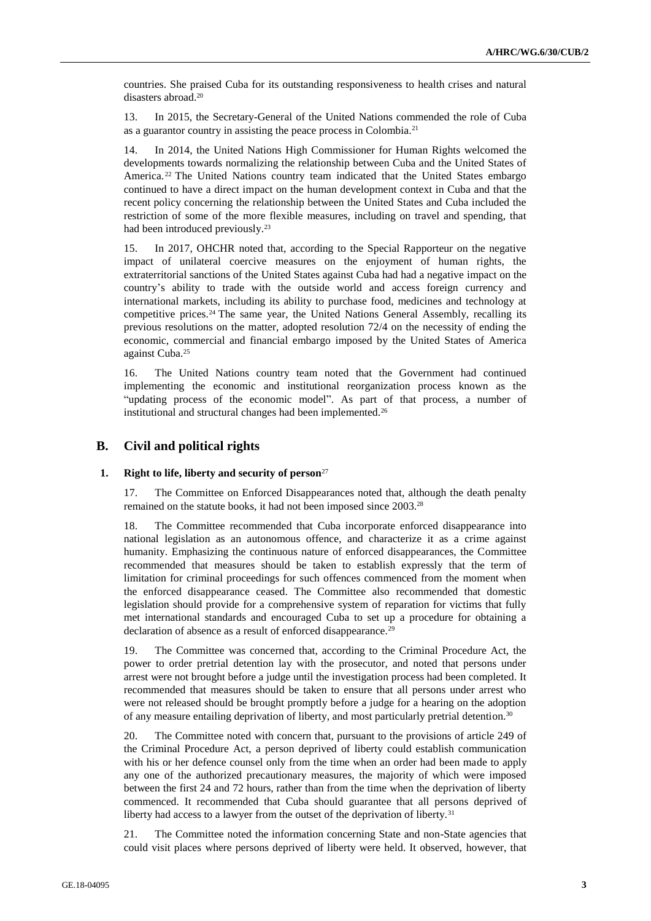countries. She praised Cuba for its outstanding responsiveness to health crises and natural disasters abroad.<sup>20</sup>

13. In 2015, the Secretary-General of the United Nations commended the role of Cuba as a guarantor country in assisting the peace process in Colombia.<sup>21</sup>

14. In 2014, the United Nations High Commissioner for Human Rights welcomed the developments towards normalizing the relationship between Cuba and the United States of America.<sup>22</sup> The United Nations country team indicated that the United States embargo continued to have a direct impact on the human development context in Cuba and that the recent policy concerning the relationship between the United States and Cuba included the restriction of some of the more flexible measures, including on travel and spending, that had been introduced previously.<sup>23</sup>

15. In 2017, OHCHR noted that, according to the Special Rapporteur on the negative impact of unilateral coercive measures on the enjoyment of human rights, the extraterritorial sanctions of the United States against Cuba had had a negative impact on the country's ability to trade with the outside world and access foreign currency and international markets, including its ability to purchase food, medicines and technology at competitive prices.<sup>24</sup> The same year, the United Nations General Assembly, recalling its previous resolutions on the matter, adopted resolution 72/4 on the necessity of ending the economic, commercial and financial embargo imposed by the United States of America against Cuba.<sup>25</sup>

16. The United Nations country team noted that the Government had continued implementing the economic and institutional reorganization process known as the "updating process of the economic model". As part of that process, a number of institutional and structural changes had been implemented.<sup>26</sup>

## **B. Civil and political rights**

### **1. Right to life, liberty and security of person**<sup>27</sup>

17. The Committee on Enforced Disappearances noted that, although the death penalty remained on the statute books, it had not been imposed since 2003.<sup>28</sup>

18. The Committee recommended that Cuba incorporate enforced disappearance into national legislation as an autonomous offence, and characterize it as a crime against humanity. Emphasizing the continuous nature of enforced disappearances, the Committee recommended that measures should be taken to establish expressly that the term of limitation for criminal proceedings for such offences commenced from the moment when the enforced disappearance ceased. The Committee also recommended that domestic legislation should provide for a comprehensive system of reparation for victims that fully met international standards and encouraged Cuba to set up a procedure for obtaining a declaration of absence as a result of enforced disappearance.<sup>29</sup>

19. The Committee was concerned that, according to the Criminal Procedure Act, the power to order pretrial detention lay with the prosecutor, and noted that persons under arrest were not brought before a judge until the investigation process had been completed. It recommended that measures should be taken to ensure that all persons under arrest who were not released should be brought promptly before a judge for a hearing on the adoption of any measure entailing deprivation of liberty, and most particularly pretrial detention.<sup>30</sup>

20. The Committee noted with concern that, pursuant to the provisions of article 249 of the Criminal Procedure Act, a person deprived of liberty could establish communication with his or her defence counsel only from the time when an order had been made to apply any one of the authorized precautionary measures, the majority of which were imposed between the first 24 and 72 hours, rather than from the time when the deprivation of liberty commenced. It recommended that Cuba should guarantee that all persons deprived of liberty had access to a lawyer from the outset of the deprivation of liberty.<sup>31</sup>

21. The Committee noted the information concerning State and non-State agencies that could visit places where persons deprived of liberty were held. It observed, however, that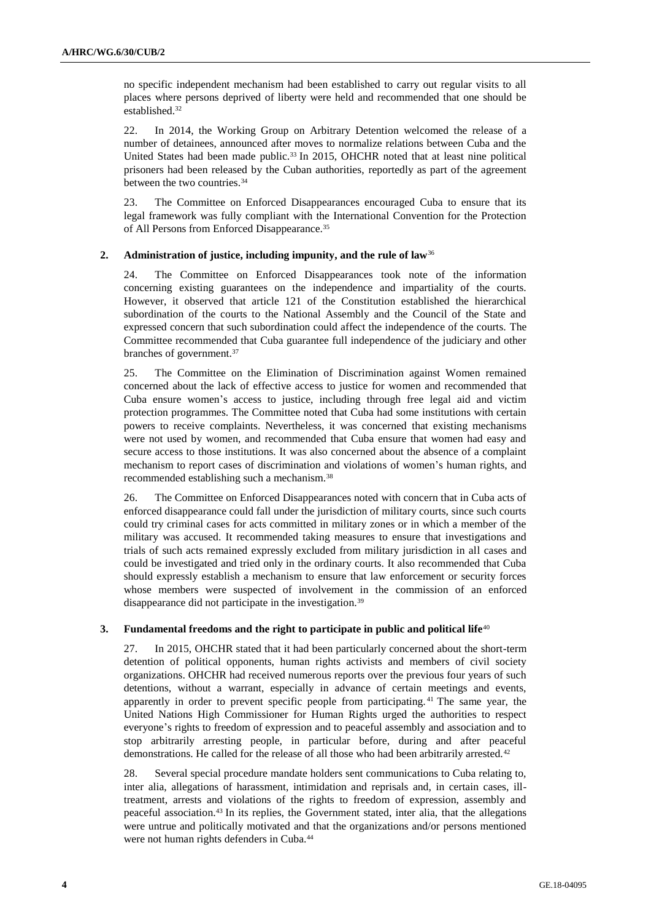no specific independent mechanism had been established to carry out regular visits to all places where persons deprived of liberty were held and recommended that one should be established.<sup>32</sup>

22. In 2014, the Working Group on Arbitrary Detention welcomed the release of a number of detainees, announced after moves to normalize relations between Cuba and the United States had been made public.<sup>33</sup> In 2015, OHCHR noted that at least nine political prisoners had been released by the Cuban authorities, reportedly as part of the agreement between the two countries.<sup>34</sup>

23. The Committee on Enforced Disappearances encouraged Cuba to ensure that its legal framework was fully compliant with the International Convention for the Protection of All Persons from Enforced Disappearance.<sup>35</sup>

## **2. Administration of justice, including impunity, and the rule of law**<sup>36</sup>

24. The Committee on Enforced Disappearances took note of the information concerning existing guarantees on the independence and impartiality of the courts. However, it observed that article 121 of the Constitution established the hierarchical subordination of the courts to the National Assembly and the Council of the State and expressed concern that such subordination could affect the independence of the courts. The Committee recommended that Cuba guarantee full independence of the judiciary and other branches of government.<sup>37</sup>

25. The Committee on the Elimination of Discrimination against Women remained concerned about the lack of effective access to justice for women and recommended that Cuba ensure women's access to justice, including through free legal aid and victim protection programmes. The Committee noted that Cuba had some institutions with certain powers to receive complaints. Nevertheless, it was concerned that existing mechanisms were not used by women, and recommended that Cuba ensure that women had easy and secure access to those institutions. It was also concerned about the absence of a complaint mechanism to report cases of discrimination and violations of women's human rights, and recommended establishing such a mechanism.<sup>38</sup>

26. The Committee on Enforced Disappearances noted with concern that in Cuba acts of enforced disappearance could fall under the jurisdiction of military courts, since such courts could try criminal cases for acts committed in military zones or in which a member of the military was accused. It recommended taking measures to ensure that investigations and trials of such acts remained expressly excluded from military jurisdiction in all cases and could be investigated and tried only in the ordinary courts. It also recommended that Cuba should expressly establish a mechanism to ensure that law enforcement or security forces whose members were suspected of involvement in the commission of an enforced disappearance did not participate in the investigation.<sup>39</sup>

### **3. Fundamental freedoms and the right to participate in public and political life**<sup>40</sup>

27. In 2015, OHCHR stated that it had been particularly concerned about the short-term detention of political opponents, human rights activists and members of civil society organizations. OHCHR had received numerous reports over the previous four years of such detentions, without a warrant, especially in advance of certain meetings and events, apparently in order to prevent specific people from participating. <sup>41</sup> The same year, the United Nations High Commissioner for Human Rights urged the authorities to respect everyone's rights to freedom of expression and to peaceful assembly and association and to stop arbitrarily arresting people, in particular before, during and after peaceful demonstrations. He called for the release of all those who had been arbitrarily arrested.<sup>42</sup>

28. Several special procedure mandate holders sent communications to Cuba relating to, inter alia, allegations of harassment, intimidation and reprisals and, in certain cases, illtreatment, arrests and violations of the rights to freedom of expression, assembly and peaceful association.<sup>43</sup> In its replies, the Government stated, inter alia, that the allegations were untrue and politically motivated and that the organizations and/or persons mentioned were not human rights defenders in Cuba.44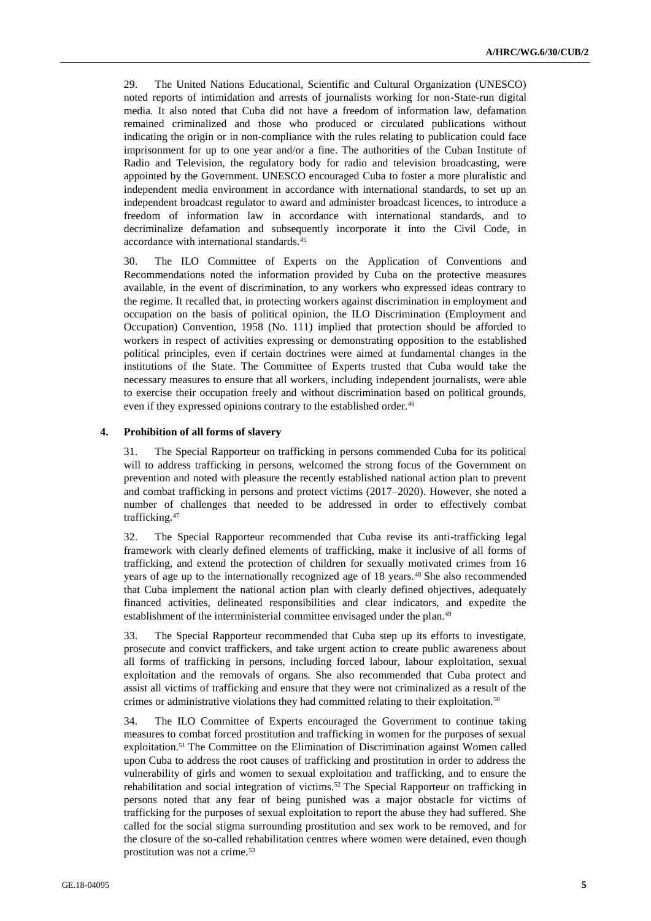29. The United Nations Educational, Scientific and Cultural Organization (UNESCO) noted reports of intimidation and arrests of journalists working for non-State-run digital media. It also noted that Cuba did not have a freedom of information law, defamation remained criminalized and those who produced or circulated publications without indicating the origin or in non-compliance with the rules relating to publication could face imprisonment for up to one year and/or a fine. The authorities of the Cuban Institute of Radio and Television, the regulatory body for radio and television broadcasting, were appointed by the Government. UNESCO encouraged Cuba to foster a more pluralistic and independent media environment in accordance with international standards, to set up an independent broadcast regulator to award and administer broadcast licences, to introduce a freedom of information law in accordance with international standards, and to decriminalize defamation and subsequently incorporate it into the Civil Code, in accordance with international standards.<sup>45</sup>

30. The ILO Committee of Experts on the Application of Conventions and Recommendations noted the information provided by Cuba on the protective measures available, in the event of discrimination, to any workers who expressed ideas contrary to the regime. It recalled that, in protecting workers against discrimination in employment and occupation on the basis of political opinion, the ILO Discrimination (Employment and Occupation) Convention, 1958 (No. 111) implied that protection should be afforded to workers in respect of activities expressing or demonstrating opposition to the established political principles, even if certain doctrines were aimed at fundamental changes in the institutions of the State. The Committee of Experts trusted that Cuba would take the necessary measures to ensure that all workers, including independent journalists, were able to exercise their occupation freely and without discrimination based on political grounds, even if they expressed opinions contrary to the established order.<sup>46</sup>

### **4. Prohibition of all forms of slavery**

31. The Special Rapporteur on trafficking in persons commended Cuba for its political will to address trafficking in persons, welcomed the strong focus of the Government on prevention and noted with pleasure the recently established national action plan to prevent and combat trafficking in persons and protect victims (2017–2020). However, she noted a number of challenges that needed to be addressed in order to effectively combat trafficking.<sup>47</sup>

32. The Special Rapporteur recommended that Cuba revise its anti-trafficking legal framework with clearly defined elements of trafficking, make it inclusive of all forms of trafficking, and extend the protection of children for sexually motivated crimes from 16 years of age up to the internationally recognized age of 18 years.<sup>48</sup> She also recommended that Cuba implement the national action plan with clearly defined objectives, adequately financed activities, delineated responsibilities and clear indicators, and expedite the establishment of the interministerial committee envisaged under the plan.<sup>49</sup>

33. The Special Rapporteur recommended that Cuba step up its efforts to investigate, prosecute and convict traffickers, and take urgent action to create public awareness about all forms of trafficking in persons, including forced labour, labour exploitation, sexual exploitation and the removals of organs. She also recommended that Cuba protect and assist all victims of trafficking and ensure that they were not criminalized as a result of the crimes or administrative violations they had committed relating to their exploitation.<sup>50</sup>

34. The ILO Committee of Experts encouraged the Government to continue taking measures to combat forced prostitution and trafficking in women for the purposes of sexual exploitation.<sup>51</sup> The Committee on the Elimination of Discrimination against Women called upon Cuba to address the root causes of trafficking and prostitution in order to address the vulnerability of girls and women to sexual exploitation and trafficking, and to ensure the rehabilitation and social integration of victims.<sup>52</sup> The Special Rapporteur on trafficking in persons noted that any fear of being punished was a major obstacle for victims of trafficking for the purposes of sexual exploitation to report the abuse they had suffered. She called for the social stigma surrounding prostitution and sex work to be removed, and for the closure of the so-called rehabilitation centres where women were detained, even though prostitution was not a crime.<sup>53</sup>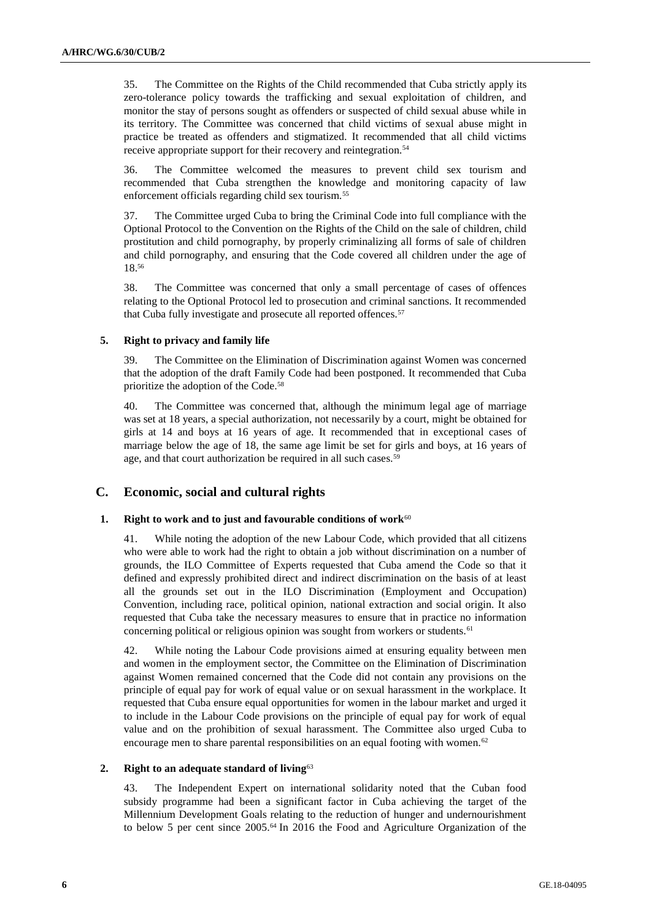35. The Committee on the Rights of the Child recommended that Cuba strictly apply its zero-tolerance policy towards the trafficking and sexual exploitation of children, and monitor the stay of persons sought as offenders or suspected of child sexual abuse while in its territory. The Committee was concerned that child victims of sexual abuse might in practice be treated as offenders and stigmatized. It recommended that all child victims receive appropriate support for their recovery and reintegration.<sup>54</sup>

36. The Committee welcomed the measures to prevent child sex tourism and recommended that Cuba strengthen the knowledge and monitoring capacity of law enforcement officials regarding child sex tourism.<sup>55</sup>

37. The Committee urged Cuba to bring the Criminal Code into full compliance with the Optional Protocol to the Convention on the Rights of the Child on the sale of children, child prostitution and child pornography, by properly criminalizing all forms of sale of children and child pornography, and ensuring that the Code covered all children under the age of 18.<sup>56</sup>

38. The Committee was concerned that only a small percentage of cases of offences relating to the Optional Protocol led to prosecution and criminal sanctions. It recommended that Cuba fully investigate and prosecute all reported offences.<sup>57</sup>

## **5. Right to privacy and family life**

39. The Committee on the Elimination of Discrimination against Women was concerned that the adoption of the draft Family Code had been postponed. It recommended that Cuba prioritize the adoption of the Code.<sup>58</sup>

40. The Committee was concerned that, although the minimum legal age of marriage was set at 18 years, a special authorization, not necessarily by a court, might be obtained for girls at 14 and boys at 16 years of age. It recommended that in exceptional cases of marriage below the age of 18, the same age limit be set for girls and boys, at 16 years of age, and that court authorization be required in all such cases.<sup>59</sup>

## **C. Economic, social and cultural rights**

## 1. **Right to work and to just and favourable conditions of work<sup>60</sup>**

41. While noting the adoption of the new Labour Code, which provided that all citizens who were able to work had the right to obtain a job without discrimination on a number of grounds, the ILO Committee of Experts requested that Cuba amend the Code so that it defined and expressly prohibited direct and indirect discrimination on the basis of at least all the grounds set out in the ILO Discrimination (Employment and Occupation) Convention, including race, political opinion, national extraction and social origin. It also requested that Cuba take the necessary measures to ensure that in practice no information concerning political or religious opinion was sought from workers or students.<sup>61</sup>

42. While noting the Labour Code provisions aimed at ensuring equality between men and women in the employment sector, the Committee on the Elimination of Discrimination against Women remained concerned that the Code did not contain any provisions on the principle of equal pay for work of equal value or on sexual harassment in the workplace. It requested that Cuba ensure equal opportunities for women in the labour market and urged it to include in the Labour Code provisions on the principle of equal pay for work of equal value and on the prohibition of sexual harassment. The Committee also urged Cuba to encourage men to share parental responsibilities on an equal footing with women.<sup>62</sup>

#### **2. Right to an adequate standard of living**<sup>63</sup>

43. The Independent Expert on international solidarity noted that the Cuban food subsidy programme had been a significant factor in Cuba achieving the target of the Millennium Development Goals relating to the reduction of hunger and undernourishment to below 5 per cent since 2005.<sup>64</sup> In 2016 the Food and Agriculture Organization of the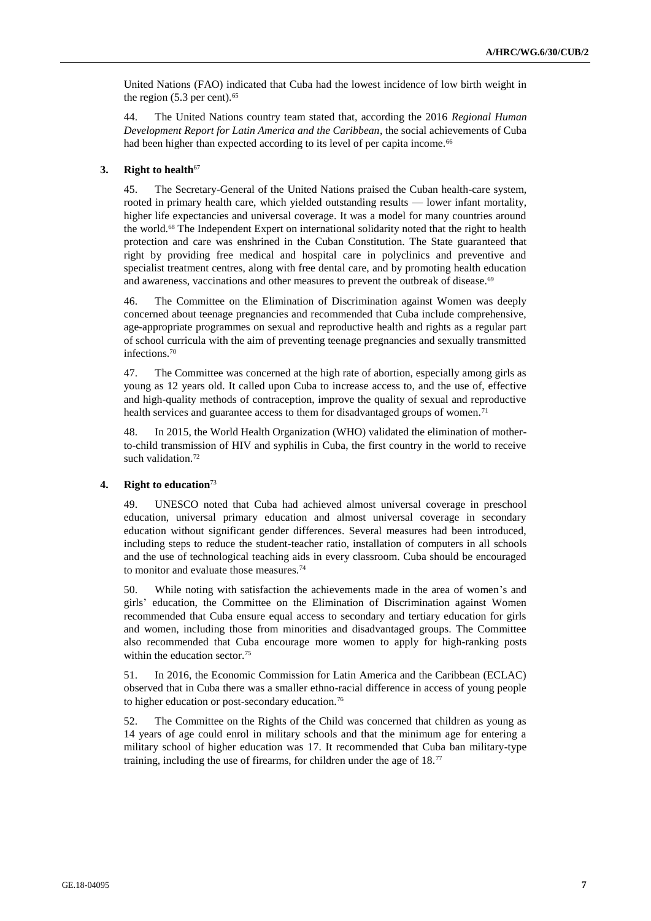United Nations (FAO) indicated that Cuba had the lowest incidence of low birth weight in the region  $(5.3 \text{ per cent})$ .<sup>65</sup>

44. The United Nations country team stated that, according the 2016 *Regional Human Development Report for Latin America and the Caribbean*, the social achievements of Cuba had been higher than expected according to its level of per capita income.<sup>66</sup>

### **3. Right to health**<sup>67</sup>

45. The Secretary-General of the United Nations praised the Cuban health-care system, rooted in primary health care, which yielded outstanding results — lower infant mortality, higher life expectancies and universal coverage. It was a model for many countries around the world.<sup>68</sup> The Independent Expert on international solidarity noted that the right to health protection and care was enshrined in the Cuban Constitution. The State guaranteed that right by providing free medical and hospital care in polyclinics and preventive and specialist treatment centres, along with free dental care, and by promoting health education and awareness, vaccinations and other measures to prevent the outbreak of disease.<sup>69</sup>

46. The Committee on the Elimination of Discrimination against Women was deeply concerned about teenage pregnancies and recommended that Cuba include comprehensive, age-appropriate programmes on sexual and reproductive health and rights as a regular part of school curricula with the aim of preventing teenage pregnancies and sexually transmitted infections.<sup>70</sup>

47. The Committee was concerned at the high rate of abortion, especially among girls as young as 12 years old. It called upon Cuba to increase access to, and the use of, effective and high-quality methods of contraception, improve the quality of sexual and reproductive health services and guarantee access to them for disadvantaged groups of women.<sup>71</sup>

48. In 2015, the World Health Organization (WHO) validated the elimination of motherto-child transmission of HIV and syphilis in Cuba, the first country in the world to receive such validation.<sup>72</sup>

#### **4. Right to education**<sup>73</sup>

49. UNESCO noted that Cuba had achieved almost universal coverage in preschool education, universal primary education and almost universal coverage in secondary education without significant gender differences. Several measures had been introduced, including steps to reduce the student-teacher ratio, installation of computers in all schools and the use of technological teaching aids in every classroom. Cuba should be encouraged to monitor and evaluate those measures.<sup>74</sup>

50. While noting with satisfaction the achievements made in the area of women's and girls' education, the Committee on the Elimination of Discrimination against Women recommended that Cuba ensure equal access to secondary and tertiary education for girls and women, including those from minorities and disadvantaged groups. The Committee also recommended that Cuba encourage more women to apply for high-ranking posts within the education sector  $75$ 

51. In 2016, the Economic Commission for Latin America and the Caribbean (ECLAC) observed that in Cuba there was a smaller ethno-racial difference in access of young people to higher education or post-secondary education.<sup>76</sup>

52. The Committee on the Rights of the Child was concerned that children as young as 14 years of age could enrol in military schools and that the minimum age for entering a military school of higher education was 17. It recommended that Cuba ban military-type training, including the use of firearms, for children under the age of 18.77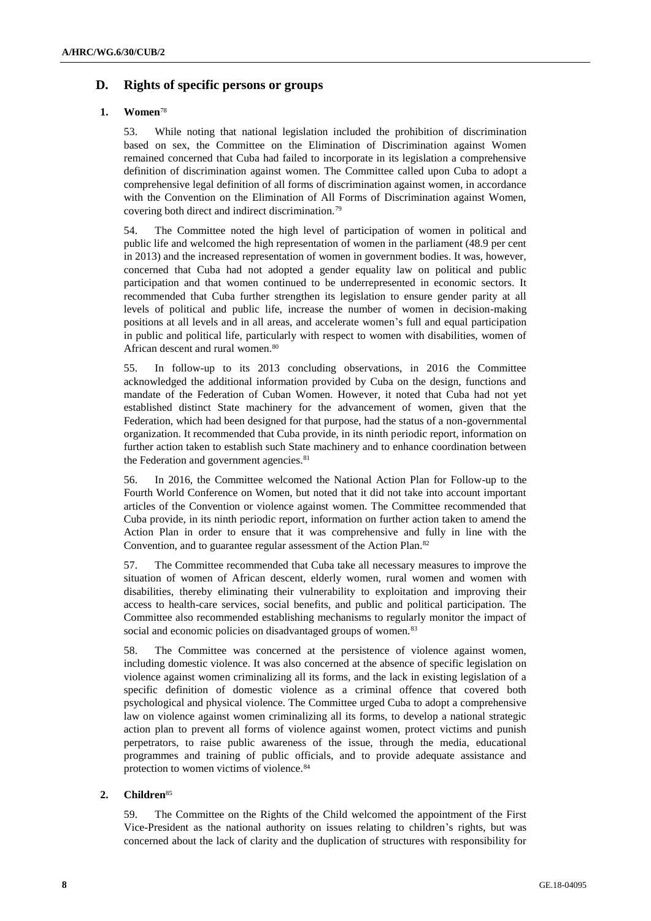## **D. Rights of specific persons or groups**

## **1. Women**<sup>78</sup>

53. While noting that national legislation included the prohibition of discrimination based on sex, the Committee on the Elimination of Discrimination against Women remained concerned that Cuba had failed to incorporate in its legislation a comprehensive definition of discrimination against women. The Committee called upon Cuba to adopt a comprehensive legal definition of all forms of discrimination against women, in accordance with the Convention on the Elimination of All Forms of Discrimination against Women, covering both direct and indirect discrimination.<sup>79</sup>

54. The Committee noted the high level of participation of women in political and public life and welcomed the high representation of women in the parliament (48.9 per cent in 2013) and the increased representation of women in government bodies. It was, however, concerned that Cuba had not adopted a gender equality law on political and public participation and that women continued to be underrepresented in economic sectors. It recommended that Cuba further strengthen its legislation to ensure gender parity at all levels of political and public life, increase the number of women in decision-making positions at all levels and in all areas, and accelerate women's full and equal participation in public and political life, particularly with respect to women with disabilities, women of African descent and rural women.<sup>80</sup>

55. In follow-up to its 2013 concluding observations, in 2016 the Committee acknowledged the additional information provided by Cuba on the design, functions and mandate of the Federation of Cuban Women. However, it noted that Cuba had not yet established distinct State machinery for the advancement of women, given that the Federation, which had been designed for that purpose, had the status of a non-governmental organization. It recommended that Cuba provide, in its ninth periodic report, information on further action taken to establish such State machinery and to enhance coordination between the Federation and government agencies.<sup>81</sup>

56. In 2016, the Committee welcomed the National Action Plan for Follow-up to the Fourth World Conference on Women, but noted that it did not take into account important articles of the Convention or violence against women. The Committee recommended that Cuba provide, in its ninth periodic report, information on further action taken to amend the Action Plan in order to ensure that it was comprehensive and fully in line with the Convention, and to guarantee regular assessment of the Action Plan.<sup>82</sup>

57. The Committee recommended that Cuba take all necessary measures to improve the situation of women of African descent, elderly women, rural women and women with disabilities, thereby eliminating their vulnerability to exploitation and improving their access to health-care services, social benefits, and public and political participation. The Committee also recommended establishing mechanisms to regularly monitor the impact of social and economic policies on disadvantaged groups of women.<sup>83</sup>

58. The Committee was concerned at the persistence of violence against women, including domestic violence. It was also concerned at the absence of specific legislation on violence against women criminalizing all its forms, and the lack in existing legislation of a specific definition of domestic violence as a criminal offence that covered both psychological and physical violence. The Committee urged Cuba to adopt a comprehensive law on violence against women criminalizing all its forms, to develop a national strategic action plan to prevent all forms of violence against women, protect victims and punish perpetrators, to raise public awareness of the issue, through the media, educational programmes and training of public officials, and to provide adequate assistance and protection to women victims of violence.<sup>84</sup>

## **2. Children**<sup>85</sup>

59. The Committee on the Rights of the Child welcomed the appointment of the First Vice-President as the national authority on issues relating to children's rights, but was concerned about the lack of clarity and the duplication of structures with responsibility for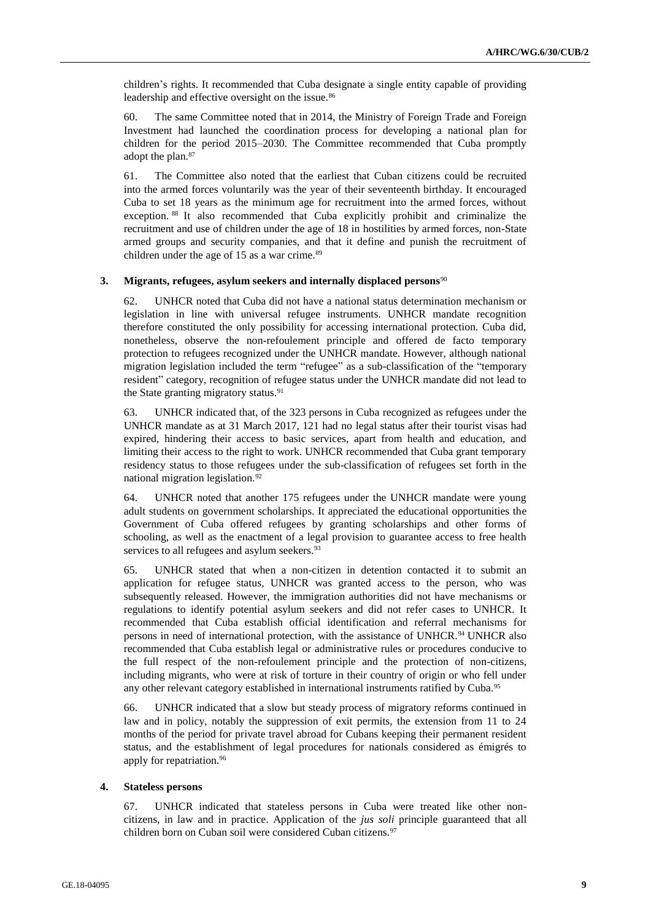children's rights. It recommended that Cuba designate a single entity capable of providing leadership and effective oversight on the issue.<sup>86</sup>

60. The same Committee noted that in 2014, the Ministry of Foreign Trade and Foreign Investment had launched the coordination process for developing a national plan for children for the period 2015–2030. The Committee recommended that Cuba promptly adopt the plan.<sup>87</sup>

61. The Committee also noted that the earliest that Cuban citizens could be recruited into the armed forces voluntarily was the year of their seventeenth birthday. It encouraged Cuba to set 18 years as the minimum age for recruitment into the armed forces, without exception. <sup>88</sup> It also recommended that Cuba explicitly prohibit and criminalize the recruitment and use of children under the age of 18 in hostilities by armed forces, non-State armed groups and security companies, and that it define and punish the recruitment of children under the age of 15 as a war crime.<sup>89</sup>

### **3. Migrants, refugees, asylum seekers and internally displaced persons**<sup>90</sup>

62. UNHCR noted that Cuba did not have a national status determination mechanism or legislation in line with universal refugee instruments. UNHCR mandate recognition therefore constituted the only possibility for accessing international protection. Cuba did, nonetheless, observe the non-refoulement principle and offered de facto temporary protection to refugees recognized under the UNHCR mandate. However, although national migration legislation included the term "refugee" as a sub-classification of the "temporary resident" category, recognition of refugee status under the UNHCR mandate did not lead to the State granting migratory status.<sup>91</sup>

63. UNHCR indicated that, of the 323 persons in Cuba recognized as refugees under the UNHCR mandate as at 31 March 2017, 121 had no legal status after their tourist visas had expired, hindering their access to basic services, apart from health and education, and limiting their access to the right to work. UNHCR recommended that Cuba grant temporary residency status to those refugees under the sub-classification of refugees set forth in the national migration legislation.<sup>92</sup>

64. UNHCR noted that another 175 refugees under the UNHCR mandate were young adult students on government scholarships. It appreciated the educational opportunities the Government of Cuba offered refugees by granting scholarships and other forms of schooling, as well as the enactment of a legal provision to guarantee access to free health services to all refugees and asylum seekers.<sup>93</sup>

65. UNHCR stated that when a non-citizen in detention contacted it to submit an application for refugee status, UNHCR was granted access to the person, who was subsequently released. However, the immigration authorities did not have mechanisms or regulations to identify potential asylum seekers and did not refer cases to UNHCR. It recommended that Cuba establish official identification and referral mechanisms for persons in need of international protection, with the assistance of UNHCR.<sup>94</sup> UNHCR also recommended that Cuba establish legal or administrative rules or procedures conducive to the full respect of the non-refoulement principle and the protection of non-citizens, including migrants, who were at risk of torture in their country of origin or who fell under any other relevant category established in international instruments ratified by Cuba.<sup>95</sup>

66. UNHCR indicated that a slow but steady process of migratory reforms continued in law and in policy, notably the suppression of exit permits, the extension from 11 to 24 months of the period for private travel abroad for Cubans keeping their permanent resident status, and the establishment of legal procedures for nationals considered as émigrés to apply for repatriation.<sup>96</sup>

#### **4. Stateless persons**

67. UNHCR indicated that stateless persons in Cuba were treated like other noncitizens, in law and in practice. Application of the *jus soli* principle guaranteed that all children born on Cuban soil were considered Cuban citizens.<sup>97</sup>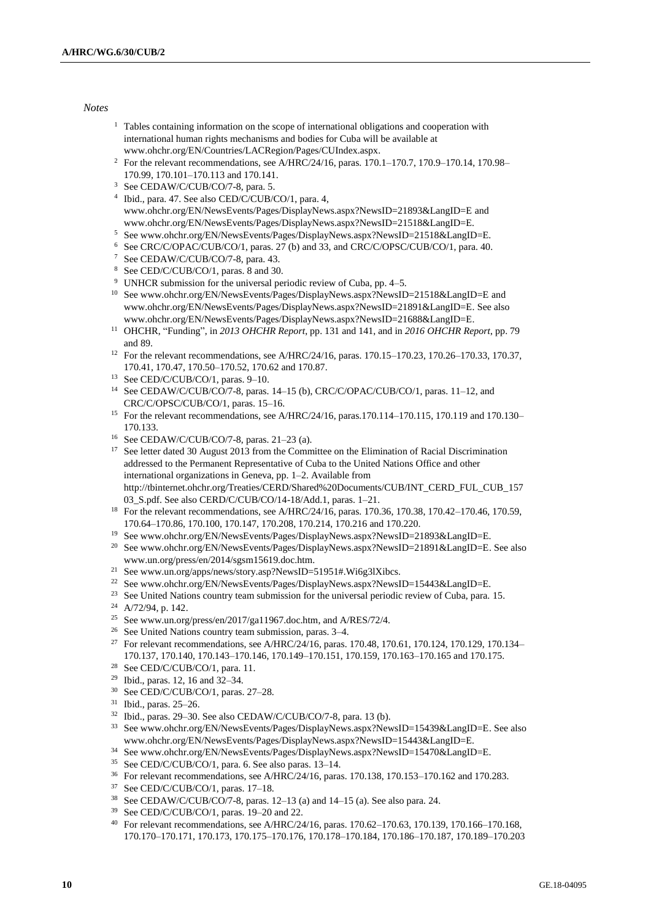#### *Notes*

- $1$  Tables containing information on the scope of international obligations and cooperation with international human rights mechanisms and bodies for Cuba will be available at [www.ohchr.org/EN/Countries/LACRegion/Pages/CUIndex.aspx.](file://///conf-share1/conf/Groups/Editing%20Section/HR%20editors/Fletcher/www.ohchr.org/EN/Countries/LACRegion/Pages/CUIndex.aspx)
- <sup>2</sup> For the relevant recommendations, see A/HRC/24/16, paras. 170.1–170.7, 170.9–170.14, 170.98– 170.99, 170.101–170.113 and 170.141.
- <sup>3</sup> See CEDAW/C/CUB/CO/7-8, para. 5.
- 4 Ibid., para. 47. See also CED/C/CUB/CO/1, para. 4, [www.ohchr.org/EN/NewsEvents/Pages/DisplayNews.aspx?NewsID=21893&LangID=E](file://///conf-share1/conf/Groups/Editing%20Section/HR%20editors/Fletcher/www.ohchr.org/EN/NewsEvents/Pages/DisplayNews.aspx%3fNewsID=21893&LangID=E) and www.ohchr.org/EN/NewsEvents/Pages/DisplayNews.aspx?NewsID=21518&LangID=E.
- <sup>5</sup> See www.ohchr.org/EN/NewsEvents/Pages/DisplayNews.aspx?NewsID=21518&LangID=E.
- <sup>6</sup> See CRC/C/OPAC/CUB/CO/1, paras. 27 (b) and 33, and CRC/C/OPSC/CUB/CO/1, para. 40.
- <sup>7</sup> See CEDAW/C/CUB/CO/7-8, para. 43.
- <sup>8</sup> See CED/C/CUB/CO/1, paras. 8 and 30.
- <sup>9</sup> UNHCR submission for the universal periodic review of Cuba, pp. 4–5.
- <sup>10</sup> Se[e www.ohchr.org/EN/NewsEvents/Pages/DisplayNews.aspx?NewsID=21518&LangID=E](file://///conf-share1/conf/Groups/Editing%20Section/HR%20editors/Fletcher/www.ohchr.org/EN/NewsEvents/Pages/DisplayNews.aspx%3fNewsID=21518&LangID=E) and [www.ohchr.org/EN/NewsEvents/Pages/DisplayNews.aspx?NewsID=21891&LangID=E.](file://///conf-share1/conf/Groups/Editing%20Section/HR%20editors/Fletcher/www.ohchr.org/EN/NewsEvents/Pages/DisplayNews.aspx%3fNewsID=21891&LangID=E) See also [www.ohchr.org/EN/NewsEvents/Pages/DisplayNews.aspx?NewsID=21688&LangID=E.](file://///conf-share1/conf/Groups/Editing%20Section/HR%20editors/Fletcher/www.ohchr.org/EN/NewsEvents/Pages/DisplayNews.aspx%3fNewsID=21688&LangID=E)
- <sup>11</sup> OHCHR, "Funding", in *2013 OHCHR Report*, pp. 131 and 141, and in *2016 OHCHR Report*, pp. 79 and 89.
- <sup>12</sup> For the relevant recommendations, see A/HRC/24/16, paras. 170.15–170.23, 170.26–170.33, 170.37, 170.41, 170.47, 170.50–170.52, 170.62 and 170.87.
- <sup>13</sup> See CED/C/CUB/CO/1, paras. 9–10.
- <sup>14</sup> See CEDAW/C/CUB/CO/7-8, paras. 14–15 (b), CRC/C/OPAC/CUB/CO/1, paras. 11–12, and CRC/C/OPSC/CUB/CO/1, paras. 15–16.
- <sup>15</sup> For the relevant recommendations, see A/HRC/24/16, paras.170.114–170.115, 170.119 and 170.130– 170.133.
- <sup>16</sup> See CEDAW/C/CUB/CO/7-8, paras. 21–23 (a).
- <sup>17</sup> See letter dated 30 August 2013 from the Committee on the Elimination of Racial Discrimination addressed to the Permanent Representative of Cuba to the United Nations Office and other international organizations in Geneva, pp. 1–2. Available from http://tbinternet.ohchr.org/Treaties/CERD/Shared%20Documents/CUB/INT\_CERD\_FUL\_CUB\_157 03 S.pdf. See also CERD/C/CUB/CO/14-18/Add.1, paras. 1–21.
- <sup>18</sup> For the relevant recommendations, see A/HRC/24/16, paras. 170.36, 170.38, 170.42-170.46, 170.59, 170.64–170.86, 170.100, 170.147, 170.208, 170.214, 170.216 and 170.220.
- <sup>19</sup> See www.ohchr.org/EN/NewsEvents/Pages/DisplayNews.aspx?NewsID=21893&LangID=E.
- <sup>20</sup> Se[e www.ohchr.org/EN/NewsEvents/Pages/DisplayNews.aspx?NewsID=21891&LangID=E.](file://///conf-share1/conf/Groups/Editing%20Section/HR%20editors/Fletcher/www.ohchr.org/EN/NewsEvents/Pages/DisplayNews.aspx%3fNewsID=21891&LangID=E) See also [www.un.org/press/en/2014/sgsm15619.doc.htm.](file://///conf-share1/conf/Groups/Editing%20Section/HR%20editors/Fletcher/www.un.org/press/en/2014/sgsm15619.doc.htm)
- <sup>21</sup> See www.un.org/apps/news/story.asp?NewsID=51951#.Wi6g3lXibcs.
- <sup>22</sup> See www.ohchr.org/EN/NewsEvents/Pages/DisplayNews.aspx?NewsID=15443&LangID=E.
- <sup>23</sup> See United Nations country team submission for the universal periodic review of Cuba, para. 15.
- <sup>24</sup> A/72/94, p. 142.
- <sup>25</sup> Se[e www.un.org/press/en/2017/ga11967.doc.htm,](file://///conf-share1/conf/Groups/Editing%20Section/HR%20editors/Fletcher/www.un.org/press/en/2017/ga11967.doc.htm) and A/RES/72/4.
- <sup>26</sup> See United Nations country team submission, paras. 3–4.
- <sup>27</sup> For relevant recommendations, see A/HRC/24/16, paras. 170.48, 170.61, 170.124, 170.129, 170.134– 170.137, 170.140, 170.143–170.146, 170.149–170.151, 170.159, 170.163–170.165 and 170.175.
- <sup>28</sup> See CED/C/CUB/CO/1, para. 11.
- <sup>29</sup> Ibid., paras. 12, 16 and 32–34.
- <sup>30</sup> See CED/C/CUB/CO/1, paras. 27–28.
- <sup>31</sup> Ibid., paras. 25–26.
- $32$  Ibid., paras. 29–30. See also CEDAW/C/CUB/CO/7-8, para. 13 (b).
- <sup>33</sup> Se[e www.ohchr.org/EN/NewsEvents/Pages/DisplayNews.aspx?NewsID=15439&LangID=E.](file://///conf-share1/conf/Groups/Editing%20Section/HR%20editors/Fletcher/www.ohchr.org/EN/NewsEvents/Pages/DisplayNews.aspx%3fNewsID=15439&LangID=E) See also www.ohchr.org/EN/NewsEvents/Pages/DisplayNews.aspx?NewsID=15443&LangID=E.
- <sup>34</sup> See www.ohchr.org/EN/NewsEvents/Pages/DisplayNews.aspx?NewsID=15470&LangID=E.
- <sup>35</sup> See CED/C/CUB/CO/1, para. 6. See also paras. 13–14.
- <sup>36</sup> For relevant recommendations, see A/HRC/24/16, paras. 170.138, 170.153–170.162 and 170.283.
- <sup>37</sup> See CED/C/CUB/CO/1, paras. 17–18.
- <sup>38</sup> See CEDAW/C/CUB/CO/7-8, paras. 12–13 (a) and 14–15 (a). See also para. 24.
- <sup>39</sup> See CED/C/CUB/CO/1, paras. 19–20 and 22.
- <sup>40</sup> For relevant recommendations, see A/HRC/24/16, paras. 170.62–170.63, 170.139, 170.166–170.168, 170.170–170.171, 170.173, 170.175–170.176, 170.178–170.184, 170.186–170.187, 170.189–170.203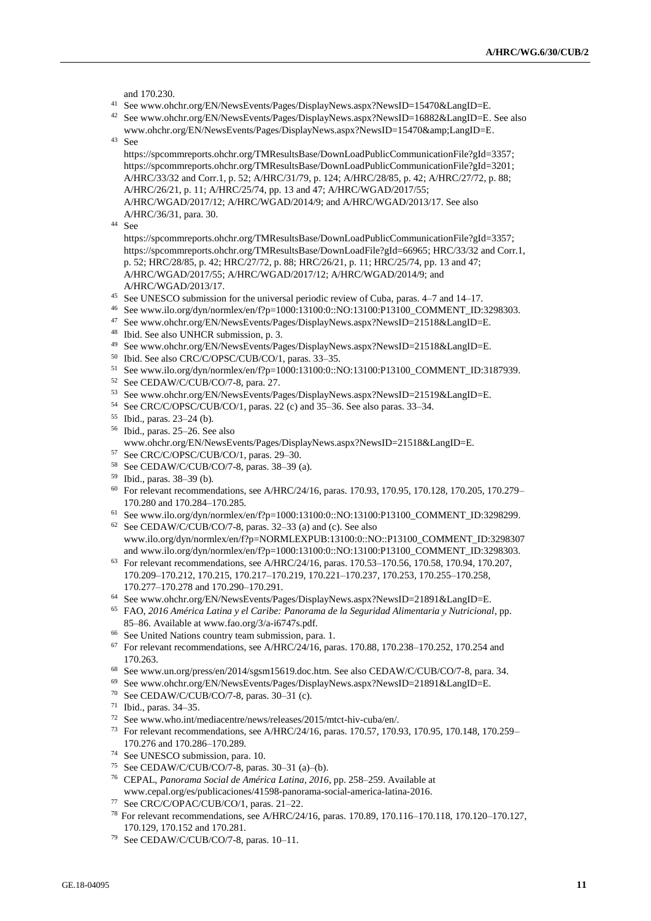and 170.230.

- <sup>41</sup> See www.ohchr.org/EN/NewsEvents/Pages/DisplayNews.aspx?NewsID=15470&LangID=E.
- <sup>42</sup> Se[e www.ohchr.org/EN/NewsEvents/Pages/DisplayNews.aspx?NewsID=16882&LangID=E.](file://///conf-share1/conf/Groups/Editing%20Section/HR%20editors/Fletcher/www.ohchr.org/EN/NewsEvents/Pages/DisplayNews.aspx%3fNewsID=16882&LangID=E) See also [www.ohchr.org/EN/NewsEvents/Pages/DisplayNews.aspx?NewsID=15470&LangID=E.](file://///conf-share1/conf/Groups/Editing%20Section/HR%20editors/Fletcher/www.ohchr.org/EN/NewsEvents/Pages/DisplayNews.aspx%3fNewsID=15470&LangID=E)
- <sup>43</sup> See
	- [https://spcommreports.ohchr.org/TMResultsBase/DownLoadPublicCommunicationFile?gId=3357;](https://spcommreports.ohchr.org/TMResultsBase/DownLoadPublicCommunicationFile?gId=3357) [https://spcommreports.ohchr.org/TMResultsBase/DownLoadPublicCommunicationFile?gId=3201;](https://spcommreports.ohchr.org/TMResultsBase/DownLoadPublicCommunicationFile?gId=3201) A/HRC/33/32 and Corr.1, p. 52; A/HRC/31/79, p. 124; A/HRC/28/85, p. 42; A/HRC/27/72, p. 88; A/HRC/26/21, p. 11; A/HRC/25/74, pp. 13 and 47; A/HRC/WGAD/2017/55; A/HRC/WGAD/2017/12; A/HRC/WGAD/2014/9; and A/HRC/WGAD/2013/17. See also A/HRC/36/31, para. 30.
- <sup>44</sup> See
	- https://spcommreports.ohchr.org/TMResultsBase/DownLoadPublicCommunicationFile?gId=3357; https://spcommreports.ohchr.org/TMResultsBase/DownLoadFile?gId=66965; HRC/33/32 and Corr.1, p. 52; HRC/28/85, p. 42; HRC/27/72, p. 88; HRC/26/21, p. 11; HRC/25/74, pp. 13 and 47; A/HRC/WGAD/2017/55; A/HRC/WGAD/2017/12; A/HRC/WGAD/2014/9; and A/HRC/WGAD/2013/17.
- <sup>45</sup> See UNESCO submission for the universal periodic review of Cuba, paras. 4–7 and 14–17.
- <sup>46</sup> See www.ilo.org/dyn/normlex/en/f?p=1000:13100:0::NO:13100:P13100\_COMMENT\_ID:3298303.
- <sup>47</sup> See www.ohchr.org/EN/NewsEvents/Pages/DisplayNews.aspx?NewsID=21518&LangID=E. <sup>48</sup> Ibid. See also UNHCR submission, p. 3.
- 
- <sup>49</sup> See www.ohchr.org/EN/NewsEvents/Pages/DisplayNews.aspx?NewsID=21518&LangID=E.
- <sup>50</sup> Ibid. See also CRC/C/OPSC/CUB/CO/1, paras. 33–35.
- <sup>51</sup> See www.ilo.org/dyn/normlex/en/f?p=1000:13100:0::NO:13100:P13100\_COMMENT\_ID:3187939.
- <sup>52</sup> See CEDAW/C/CUB/CO/7-8, para. 27.
- <sup>53</sup> See www.ohchr.org/EN/NewsEvents/Pages/DisplayNews.aspx?NewsID=21519&LangID=E.
- <sup>54</sup> See CRC/C/OPSC/CUB/CO/1, paras. 22 (c) and 35–36. See also paras. 33–34.
- <sup>55</sup> Ibid., paras. 23–24 (b).
- <sup>56</sup> Ibid., paras. 25–26. See also
- www.ohchr.org/EN/NewsEvents/Pages/DisplayNews.aspx?NewsID=21518&LangID=E.
- <sup>57</sup> See CRC/C/OPSC/CUB/CO/1, paras. 29–30.
- <sup>58</sup> See CEDAW/C/CUB/CO/7-8, paras. 38–39 (a).
- <sup>59</sup> Ibid., paras. 38–39 (b).
- <sup>60</sup> For relevant recommendations, see A/HRC/24/16, paras. 170.93, 170.95, 170.128, 170.205, 170.279– 170.280 and 170.284–170.285.
- <sup>61</sup> See www.ilo.org/dyn/normlex/en/f?p=1000:13100:0::NO:13100:P13100\_COMMENT\_ID:3298299.
- <sup>62</sup> See CEDAW/C/CUB/CO/7-8, paras. 32–33 (a) and (c). See also [www.ilo.org/dyn/normlex/en/f?p=NORMLEXPUB:13100:0::NO::P13100\\_COMMENT\\_ID:3298307](file://///conf-share1/conf/Groups/Editing%20Section/HR%20editors/Fletcher/www.ilo.org/dyn/normlex/en/f%3fp=NORMLEXPUB:13100:0::NO::P13100_COMMENT_ID:3298307) and www.ilo.org/dyn/normlex/en/f?p=1000:13100:0::NO:13100:P13100\_COMMENT\_ID:3298303.
- <sup>63</sup> For relevant recommendations, see A/HRC/24/16, paras. 170.53–170.56, 170.58, 170.94, 170.207, 170.209–170.212, 170.215, 170.217–170.219, 170.221–170.237, 170.253, 170.255–170.258, 170.277–170.278 and 170.290–170.291.
- <sup>64</sup> See www.ohchr.org/EN/NewsEvents/Pages/DisplayNews.aspx?NewsID=21891&LangID=E.
- <sup>65</sup> FAO, *2016 América Latina y el Caribe: Panorama de la Seguridad Alimentaria y Nutricional*, pp. 85–86. Available at www.fao.org/3/a-i6747s.pdf.
- <sup>66</sup> See United Nations country team submission, para. 1.
- <sup>67</sup> For relevant recommendations, see A/HRC/24/16, paras. 170.88, 170.238–170.252, 170.254 and 170.263.
- <sup>68</sup> Se[e www.un.org/press/en/2014/sgsm15619.doc.htm.](file://///conf-share1/conf/Groups/Editing%20Section/HR%20editors/Fletcher/www.un.org/press/en/2014/sgsm15619.doc.htm) See also CEDAW/C/CUB/CO/7-8, para. 34.
- <sup>69</sup> See www.ohchr.org/EN/NewsEvents/Pages/DisplayNews.aspx?NewsID=21891&LangID=E.
- <sup>70</sup> See CEDAW/C/CUB/CO/7-8, paras. 30–31 (c).
- <sup>71</sup> Ibid., paras. 34–35.
- <sup>72</sup> See www.who.int/mediacentre/news/releases/2015/mtct-hiv-cuba/en/.
- <sup>73</sup> For relevant recommendations, see A/HRC/24/16, paras. 170.57, 170.93, 170.95, 170.148, 170.259– 170.276 and 170.286–170.289.
- <sup>74</sup> See UNESCO submission, para. 10.
- <sup>75</sup> See CEDAW/C/CUB/CO/7-8, paras. 30–31 (a)–(b).
- <sup>76</sup> CEPAL, *Panorama Social de América Latina, 2016*, pp. 258–259. Available at www.cepal.org/es/publicaciones/41598-panorama-social-america-latina-2016.
- <sup>77</sup> See CRC/C/OPAC/CUB/CO/1, paras. 21–22.
- <sup>78</sup> For relevant recommendations, see A/HRC/24/16, paras. 170.89, 170.116–170.118, 170.120–170.127, 170.129, 170.152 and 170.281.
- <sup>79</sup> See CEDAW/C/CUB/CO/7-8, paras. 10–11.